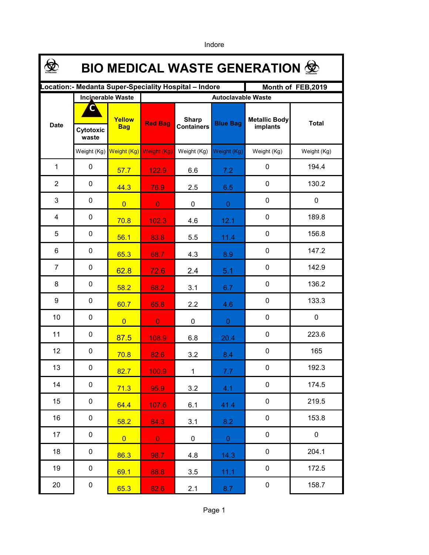**\$ BIO MEDICAL WASTE GENERATION Location:- Medanta Super-Speciality Hospital – Indore Month of FEB,2019 Incinerable Waste Autoclavable Waste CYellow Metallic Body Sharp**  Date **Red Bag Containers Blue Bag Exercise Red Bag Red Bag Exercise Red Bag Blue Bag Exercise Proteined Boys Bag implants included containers Cytotoxic implants waste** Weight (Kg) Weight (Kg) Weight (Kg) Weight (Kg) Weight (Kg) Weight (Kg) Weight (Kg) 1 0 <mark>57.7 122.9 6.6 7.2 0 194.4</mark> 2 0 <mark>44.3 76.9</mark> 2.5 6.5 0 130.2 3 0 0 0 0 0 0 0 4 0 <mark>70.8 102.3</mark> 4.6 12.1 <sup>0</sup> 1<sup>89.8</sup> 5 0 <mark>56.1 83.8</mark> 5.5 11.4 0 156.8 6 0 <mark>65.3 68.7</mark> 4.3 8.9 <sup>0</sup> 147.2 7 0 <mark>62.8 72.6</mark> 2.4 5.1 <sup>0</sup> 142.9 8 0 <mark>58.2 68.2</mark> 3.1 6.7 0 136.2 9 0 <mark>60.7 65.8</mark> 2.2 4.6 <sup>0</sup> 133.3 10 0 0 0 0 0 0 0 11 0 <mark>87.5 108.9</mark> 6.8 20.4 <sup>0</sup> 223.6  $12 \quad | \quad 0$ <mark>70.8 82.6</mark> 3.2 8.4 <sup>0</sup> 165 13 0 <mark>82.7 100.9</mark> 1 7.7 0 192.3  $14 \quad 0$ <mark>71.3 95.9</mark> 3.2 4.1 <sup>0</sup> 174.5 15 0 <mark>64.4 107.6</mark> 6.1 41.4 0 219.5 16 0 <mark>58.2 84.3</mark> 3.1 8.2 0 153.8 17 0 0 0 0 0 0 0 18 0 <mark>86.3 98.7</mark> 4.8 14.3 <sup>0</sup> 204.1 19 0 <mark>69.1 88.8</mark> 3.5 11.1 0 172.5 20 0 <mark>65.3 82.6</mark> 2.1 8.7 0 158.7

Indore